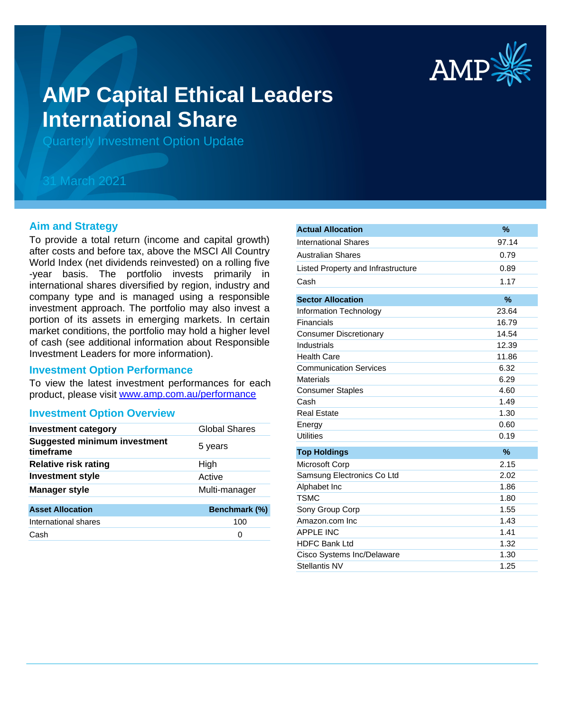

# **AMP Capital Ethical Leaders International Share**

Quarterly Investment Option Update

## 31 March 2021

#### **Aim and Strategy**

To provide a total return (income and capital growth) after costs and before tax, above the MSCI All Country World Index (net dividends reinvested) on a rolling five -year basis. The portfolio invests primarily in international shares diversified by region, industry and company type and is managed using a responsible investment approach. The portfolio may also invest a portion of its assets in emerging markets. In certain market conditions, the portfolio may hold a higher level of cash (see additional information about Responsible Investment Leaders for more information).

#### **Investment Option Performance**

product, please visit www.amp.com.au/performance To view the latest investment performances for each

#### **Investment Option Overview**

| <b>Investment category</b>                       | <b>Global Shares</b> |
|--------------------------------------------------|----------------------|
| <b>Suggested minimum investment</b><br>timeframe | 5 years              |
| <b>Relative risk rating</b>                      | High                 |
| <b>Investment style</b>                          | Active               |
| <b>Manager style</b>                             | Multi-manager        |
| <b>Asset Allocation</b>                          | Benchmark (%)        |
| International shares                             | 100                  |
| Cash                                             | 0                    |
|                                                  |                      |

| <b>Actual Allocation</b>           | $\%$  |
|------------------------------------|-------|
| <b>International Shares</b>        | 97.14 |
| <b>Australian Shares</b>           | 0.79  |
| Listed Property and Infrastructure | 0.89  |
| Cash                               | 1.17  |
| <b>Sector Allocation</b>           | $\%$  |
|                                    |       |
| Information Technology             | 23.64 |
| Financials                         | 16.79 |
| <b>Consumer Discretionary</b>      | 14.54 |
| Industrials                        | 12.39 |
| <b>Health Care</b>                 | 11.86 |
| <b>Communication Services</b>      | 6.32  |
| <b>Materials</b>                   | 6.29  |
| <b>Consumer Staples</b>            | 4.60  |
| Cash                               | 1.49  |
| <b>Real Estate</b>                 | 1.30  |
| Energy                             | 0.60  |
| <b>Utilities</b>                   | 0.19  |
| <b>Top Holdings</b>                | $\%$  |
| Microsoft Corp                     | 2.15  |
| Samsung Electronics Co Ltd         | 2.02  |
| Alphabet Inc                       | 1.86  |
| <b>TSMC</b>                        | 1.80  |
| Sony Group Corp                    | 1.55  |
| Amazon.com Inc                     | 1.43  |
| <b>APPLE INC</b>                   | 1.41  |
| <b>HDFC Bank Ltd</b>               | 1.32  |
| Cisco Systems Inc/Delaware         | 1.30  |
| Stellantis NV                      | 1.25  |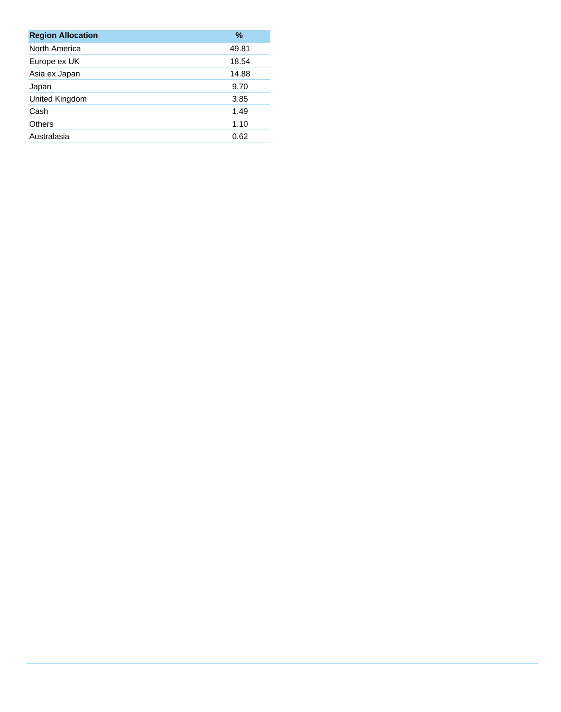| <b>Region Allocation</b> | $\%$  |
|--------------------------|-------|
| North America            | 49.81 |
| Europe ex UK             | 18.54 |
| Asia ex Japan            | 14.88 |
| Japan                    | 9.70  |
| United Kingdom           | 3.85  |
| Cash                     | 1.49  |
| Others                   | 1.10  |
| Australasia              | 0.62  |
|                          |       |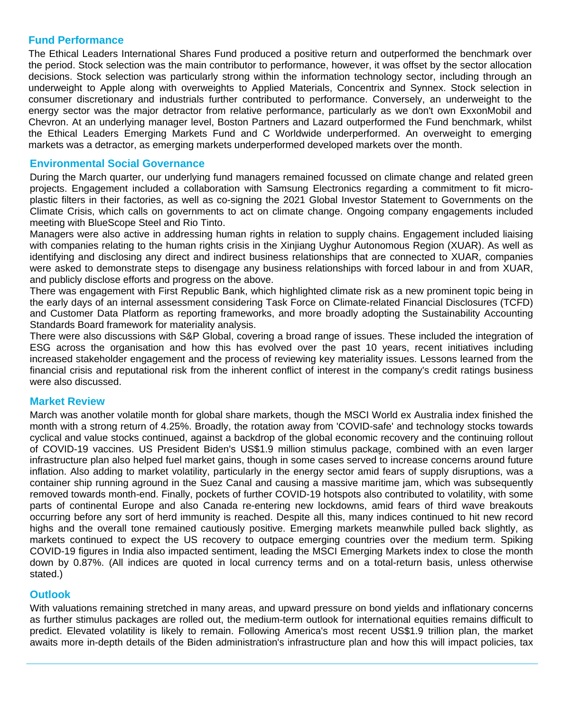### **Fund Performance**

The Ethical Leaders International Shares Fund produced a positive return and outperformed the benchmark over the period. Stock selection was the main contributor to performance, however, it was offset by the sector allocation decisions. Stock selection was particularly strong within the information technology sector, including through an underweight to Apple along with overweights to Applied Materials, Concentrix and Synnex. Stock selection in consumer discretionary and industrials further contributed to performance. Conversely, an underweight to the energy sector was the major detractor from relative performance, particularly as we don't own ExxonMobil and Chevron. At an underlying manager level, Boston Partners and Lazard outperformed the Fund benchmark, whilst the Ethical Leaders Emerging Markets Fund and C Worldwide underperformed. An overweight to emerging markets was a detractor, as emerging markets underperformed developed markets over the month.

#### **Environmental Social Governance**

During the March quarter, our underlying fund managers remained focussed on climate change and related green projects. Engagement included a collaboration with Samsung Electronics regarding a commitment to fit microplastic filters in their factories, as well as co-signing the 2021 Global Investor Statement to Governments on the Climate Crisis, which calls on governments to act on climate change. Ongoing company engagements included meeting with BlueScope Steel and Rio Tinto.

Managers were also active in addressing human rights in relation to supply chains. Engagement included liaising with companies relating to the human rights crisis in the Xinjiang Uyghur Autonomous Region (XUAR). As well as identifying and disclosing any direct and indirect business relationships that are connected to XUAR, companies were asked to demonstrate steps to disengage any business relationships with forced labour in and from XUAR, and publicly disclose efforts and progress on the above.

There was engagement with First Republic Bank, which highlighted climate risk as a new prominent topic being in the early days of an internal assessment considering Task Force on Climate-related Financial Disclosures (TCFD) and Customer Data Platform as reporting frameworks, and more broadly adopting the Sustainability Accounting Standards Board framework for materiality analysis.

There were also discussions with S&P Global, covering a broad range of issues. These included the integration of ESG across the organisation and how this has evolved over the past 10 years, recent initiatives including increased stakeholder engagement and the process of reviewing key materiality issues. Lessons learned from the financial crisis and reputational risk from the inherent conflict of interest in the company's credit ratings business were also discussed.

#### **Market Review**

March was another volatile month for global share markets, though the MSCI World ex Australia index finished the month with a strong return of 4.25%. Broadly, the rotation away from 'COVID-safe' and technology stocks towards cyclical and value stocks continued, against a backdrop of the global economic recovery and the continuing rollout of COVID-19 vaccines. US President Biden's US\$1.9 million stimulus package, combined with an even larger infrastructure plan also helped fuel market gains, though in some cases served to increase concerns around future inflation. Also adding to market volatility, particularly in the energy sector amid fears of supply disruptions, was a container ship running aground in the Suez Canal and causing a massive maritime jam, which was subsequently removed towards month-end. Finally, pockets of further COVID-19 hotspots also contributed to volatility, with some parts of continental Europe and also Canada re-entering new lockdowns, amid fears of third wave breakouts occurring before any sort of herd immunity is reached. Despite all this, many indices continued to hit new record highs and the overall tone remained cautiously positive. Emerging markets meanwhile pulled back slightly, as markets continued to expect the US recovery to outpace emerging countries over the medium term. Spiking COVID-19 figures in India also impacted sentiment, leading the MSCI Emerging Markets index to close the month down by 0.87%. (All indices are quoted in local currency terms and on a total-return basis, unless otherwise stated.)

#### **Outlook**

With valuations remaining stretched in many areas, and upward pressure on bond yields and inflationary concerns as further stimulus packages are rolled out, the medium-term outlook for international equities remains difficult to predict. Elevated volatility is likely to remain. Following America's most recent US\$1.9 trillion plan, the market awaits more in-depth details of the Biden administration's infrastructure plan and how this will impact policies, tax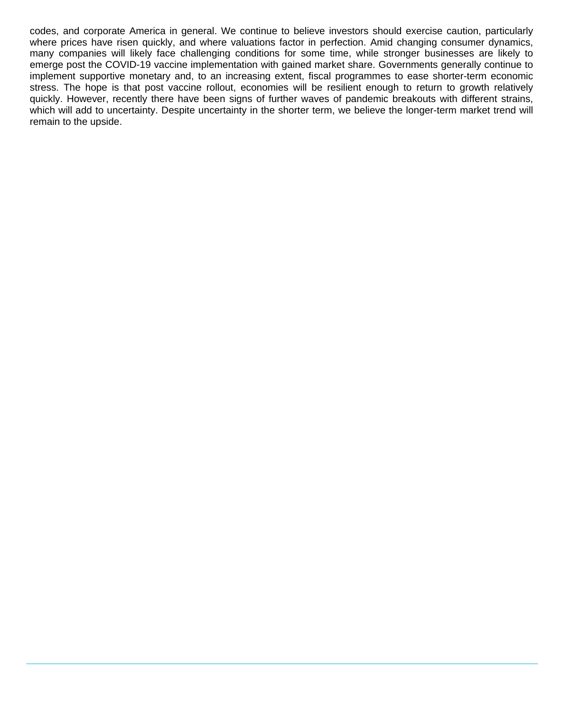codes, and corporate America in general. We continue to believe investors should exercise caution, particularly where prices have risen quickly, and where valuations factor in perfection. Amid changing consumer dynamics, many companies will likely face challenging conditions for some time, while stronger businesses are likely to emerge post the COVID-19 vaccine implementation with gained market share. Governments generally continue to implement supportive monetary and, to an increasing extent, fiscal programmes to ease shorter-term economic stress. The hope is that post vaccine rollout, economies will be resilient enough to return to growth relatively quickly. However, recently there have been signs of further waves of pandemic breakouts with different strains, which will add to uncertainty. Despite uncertainty in the shorter term, we believe the longer-term market trend will remain to the upside.